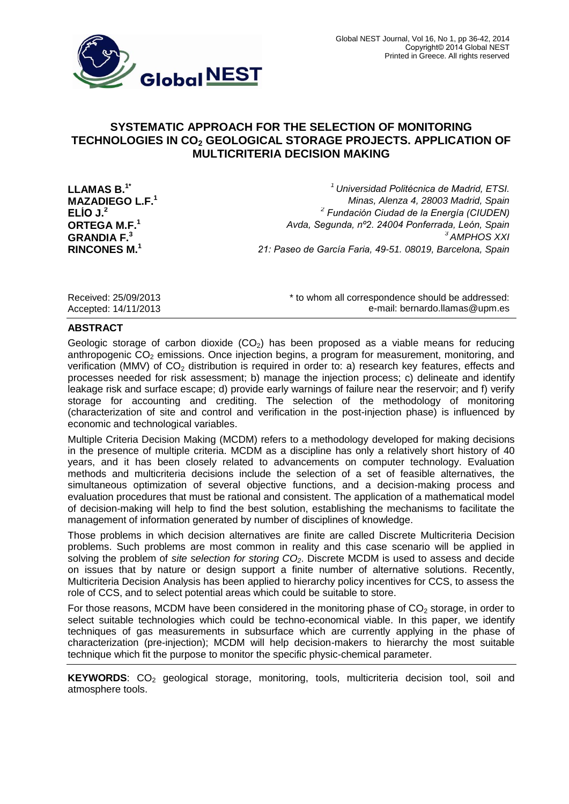

# **SYSTEMATIC APPROACH FOR THE SELECTION OF MONITORING TECHNOLOGIES IN CO<sup>2</sup> GEOLOGICAL STORAGE PROJECTS. APPLICATION OF MULTICRITERIA DECISION MAKING**

**ELÍO J.<sup>2</sup>** *<sup>2</sup>*

**LLAMAS B.1\*** *<sup>1</sup>Universidad Politécnica de Madrid, ETSI.*  **MAZADIEGO L.F.<sup>1</sup>** *Minas, Alenza 4, 28003 Madrid, Spain Fundación Ciudad de la Energía (CIUDEN)* **ORTEGA M.F.<sup>1</sup>** *Avda, Segunda, nº2. 24004 Ponferrada, León, Spain* **GRANDIA F.<sup>3</sup>** *<sup>3</sup>AMPHOS XXI* **RINCONES M.<sup>1</sup>** *21: Paseo de García Faria, 49-51. 08019, Barcelona, Spain*

Received: 25/09/2013 **Exerceived:** 25/09/2013 **\*** to whom all correspondence should be addressed: Accepted: 14/11/2013 e-mail: [bernardo.llamas@upm.es](mailto:bernardo.llamas@upm.es)

### **ABSTRACT**

Geologic storage of carbon dioxide  $(CO<sub>2</sub>)$  has been proposed as a viable means for reducing anthropogenic  $CO<sub>2</sub>$  emissions. Once injection begins, a program for measurement, monitoring, and verification (MMV) of  $CO<sub>2</sub>$  distribution is required in order to: a) research key features, effects and processes needed for risk assessment; b) manage the injection process; c) delineate and identify leakage risk and surface escape; d) provide early warnings of failure near the reservoir; and f) verify storage for accounting and crediting. The selection of the methodology of monitoring (characterization of site and control and verification in the post-injection phase) is influenced by economic and technological variables.

Multiple Criteria Decision Making (MCDM) refers to a methodology developed for making decisions in the presence of multiple criteria. MCDM as a discipline has only a relatively short history of 40 years, and it has been closely related to advancements on computer technology. Evaluation methods and multicriteria decisions include the selection of a set of feasible alternatives, the simultaneous optimization of several objective functions, and a decision-making process and evaluation procedures that must be rational and consistent. The application of a mathematical model of decision-making will help to find the best solution, establishing the mechanisms to facilitate the management of information generated by number of disciplines of knowledge.

Those problems in which decision alternatives are finite are called Discrete Multicriteria Decision problems. Such problems are most common in reality and this case scenario will be applied in solving the problem of *site selection for storing CO2*. Discrete MCDM is used to assess and decide on issues that by nature or design support a finite number of alternative solutions. Recently, Multicriteria Decision Analysis has been applied to hierarchy policy incentives for CCS, to assess the role of CCS, and to select potential areas which could be suitable to store.

For those reasons, MCDM have been considered in the monitoring phase of  $CO<sub>2</sub>$  storage, in order to select suitable technologies which could be techno-economical viable. In this paper, we identify techniques of gas measurements in subsurface which are currently applying in the phase of characterization (pre-injection); MCDM will help decision-makers to hierarchy the most suitable technique which fit the purpose to monitor the specific physic-chemical parameter.

**KEYWORDS:** CO<sub>2</sub> geological storage, monitoring, tools, multicriteria decision tool, soil and atmosphere tools.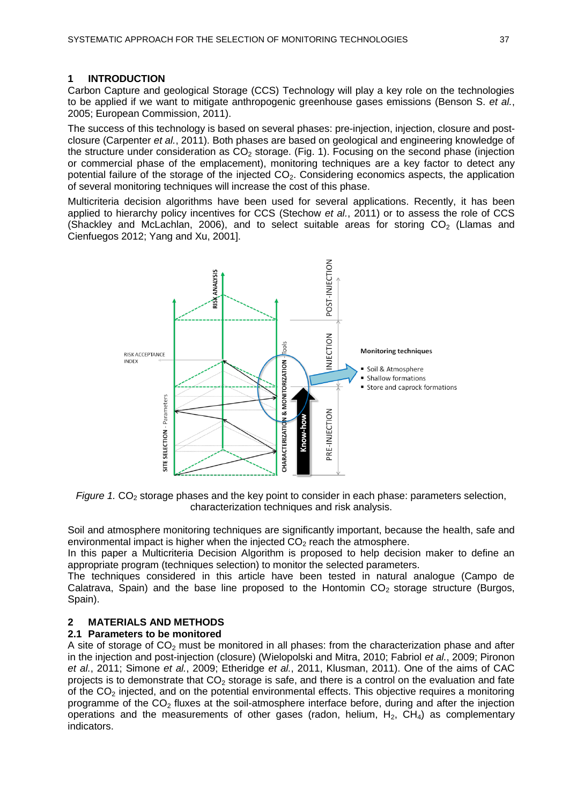## **1 INTRODUCTION**

Carbon Capture and geological Storage (CCS) Technology will play a key role on the technologies to be applied if we want to mitigate anthropogenic greenhouse gases emissions (Benson S. *et al.*, 2005; European Commission, 2011).

The success of this technology is based on several phases: pre-injection, injection, closure and postclosure (Carpenter *et al.*, 2011). Both phases are based on geological and engineering knowledge of the structure under consideration as  $CO<sub>2</sub>$  storage. (Fig. 1). Focusing on the second phase (injection or commercial phase of the emplacement), monitoring techniques are a key factor to detect any potential failure of the storage of the injected CO<sub>2</sub>. Considering economics aspects, the application of several monitoring techniques will increase the cost of this phase.

Multicriteria decision algorithms have been used for several applications. Recently, it has been applied to hierarchy policy incentives for CCS (Stechow *et al.*, 2011) or to assess the role of CCS (Shackley and McLachlan, 2006), and to select suitable areas for storing  $CO<sub>2</sub>$  (Llamas and Cienfuegos 2012; Yang and Xu, 2001].



*Figure* 1. CO<sub>2</sub> storage phases and the key point to consider in each phase: parameters selection, characterization techniques and risk analysis.

Soil and atmosphere monitoring techniques are significantly important, because the health, safe and environmental impact is higher when the injected  $CO<sub>2</sub>$  reach the atmosphere.

In this paper a Multicriteria Decision Algorithm is proposed to help decision maker to define an appropriate program (techniques selection) to monitor the selected parameters.

The techniques considered in this article have been tested in natural analogue (Campo de Calatrava, Spain) and the base line proposed to the Hontomin  $CO<sub>2</sub>$  storage structure (Burgos, Spain).

## **2 MATERIALS AND METHODS**

## **2.1 Parameters to be monitored**

A site of storage of  $CO<sub>2</sub>$  must be monitored in all phases: from the characterization phase and after in the injection and post-injection (closure) (Wielopolski and Mitra, 2010; Fabriol *et al.*, 2009; Pironon *et al.*, 2011; Simone *et al.*, 2009; Etheridge *et al.*, 2011, Klusman, 2011). One of the aims of CAC projects is to demonstrate that  $CO<sub>2</sub>$  storage is safe, and there is a control on the evaluation and fate of the  $CO<sub>2</sub>$  injected, and on the potential environmental effects. This objective requires a monitoring programme of the  $CO<sub>2</sub>$  fluxes at the soil-atmosphere interface before, during and after the injection operations and the measurements of other gases (radon, helium,  $H_2$ ,  $CH_4$ ) as complementary indicators.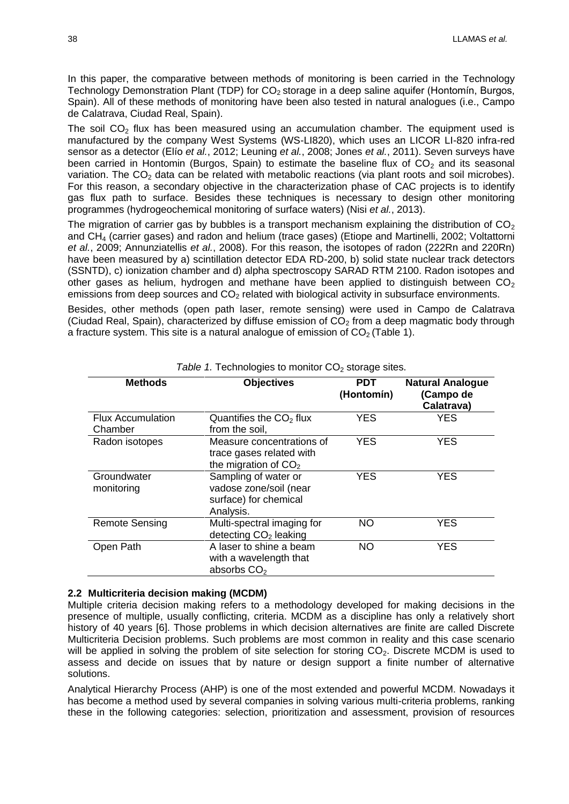In this paper, the comparative between methods of monitoring is been carried in the Technology Technology Demonstration Plant (TDP) for  $CO<sub>2</sub>$  storage in a deep saline aquifer (Hontomín, Burgos, Spain). All of these methods of monitoring have been also tested in natural analogues (i.e., Campo de Calatrava, Ciudad Real, Spain).

The soil  $CO<sub>2</sub>$  flux has been measured using an accumulation chamber. The equipment used is manufactured by the company West Systems (WS-LI820), which uses an LICOR LI-820 infra-red sensor as a detector (Elío *et al.*, 2012; Leuning *et al.*, 2008; Jones *et al.*, 2011). Seven surveys have been carried in Hontomin (Burgos, Spain) to estimate the baseline flux of  $CO<sub>2</sub>$  and its seasonal variation. The  $CO<sub>2</sub>$  data can be related with metabolic reactions (via plant roots and soil microbes). For this reason, a secondary objective in the characterization phase of CAC projects is to identify gas flux path to surface. Besides these techniques is necessary to design other monitoring programmes (hydrogeochemical monitoring of surface waters) (Nisi *et al.*, 2013).

The migration of carrier gas by bubbles is a transport mechanism explaining the distribution of  $CO<sub>2</sub>$ and CH<sup>4</sup> (carrier gases) and radon and helium (trace gases) (Etiope and Martinelli, 2002; Voltattorni *et al.*, 2009; Annunziatellis *et al.*, 2008). For this reason, the isotopes of radon (222Rn and 220Rn) have been measured by a) scintillation detector EDA RD-200, b) solid state nuclear track detectors (SSNTD), c) ionization chamber and d) alpha spectroscopy SARAD RTM 2100. Radon isotopes and other gases as helium, hydrogen and methane have been applied to distinguish between  $CO<sub>2</sub>$ emissions from deep sources and  $CO<sub>2</sub>$  related with biological activity in subsurface environments.

Besides, other methods (open path laser, remote sensing) were used in Campo de Calatrava (Ciudad Real, Spain), characterized by diffuse emission of  $CO<sub>2</sub>$  from a deep magmatic body through a fracture system. This site is a natural analogue of emission of  $CO<sub>2</sub>$  (Table 1).

| <b>Methods</b>                      | <b>Objectives</b>                                                                    | <b>PDT</b><br>(Hontomín) | <b>Natural Analogue</b><br>(Campo de<br>Calatrava) |
|-------------------------------------|--------------------------------------------------------------------------------------|--------------------------|----------------------------------------------------|
| <b>Flux Accumulation</b><br>Chamber | Quantifies the $CO2$ flux<br>from the soil,                                          | <b>YES</b>               | <b>YES</b>                                         |
| Radon isotopes                      | Measure concentrations of<br>trace gases related with<br>the migration of $CO2$      | <b>YES</b>               | <b>YES</b>                                         |
| Groundwater<br>monitoring           | Sampling of water or<br>vadose zone/soil (near<br>surface) for chemical<br>Analysis. | YES                      | <b>YES</b>                                         |
| <b>Remote Sensing</b>               | Multi-spectral imaging for<br>detecting CO <sub>2</sub> leaking                      | <b>NO</b>                | <b>YES</b>                                         |
| Open Path                           | A laser to shine a beam<br>with a wavelength that<br>absorbs CO <sub>2</sub>         | NO.                      | <b>YES</b>                                         |

Table 1. Technologies to monitor  $CO<sub>2</sub>$  storage sites.

### **2.2 Multicriteria decision making (MCDM)**

Multiple criteria decision making refers to a methodology developed for making decisions in the presence of multiple, usually conflicting, criteria. MCDM as a discipline has only a relatively short history of 40 years [6]. Those problems in which decision alternatives are finite are called Discrete Multicriteria Decision problems. Such problems are most common in reality and this case scenario will be applied in solving the problem of site selection for storing  $CO<sub>2</sub>$ . Discrete MCDM is used to assess and decide on issues that by nature or design support a finite number of alternative solutions.

Analytical Hierarchy Process (AHP) is one of the most extended and powerful MCDM. Nowadays it has become a method used by several companies in solving various multi-criteria problems, ranking these in the following categories: selection, prioritization and assessment, provision of resources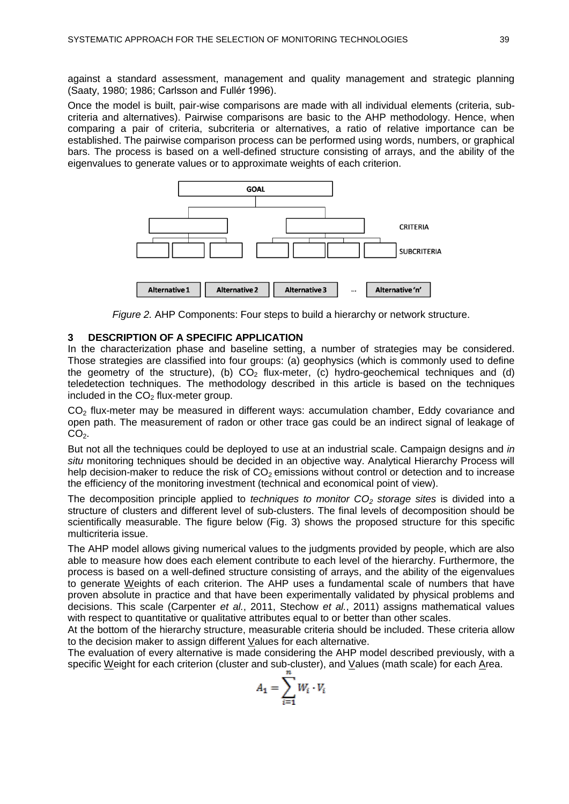against a standard assessment, management and quality management and strategic planning (Saaty, 1980; 1986; Carlsson and Fullér 1996).

Once the model is built, pair-wise comparisons are made with all individual elements (criteria, subcriteria and alternatives). Pairwise comparisons are basic to the AHP methodology. Hence, when comparing a pair of criteria, subcriteria or alternatives, a ratio of relative importance can be established. The pairwise comparison process can be performed using words, numbers, or graphical bars. The process is based on a well-defined structure consisting of arrays, and the ability of the eigenvalues to generate values or to approximate weights of each criterion.





## **3 DESCRIPTION OF A SPECIFIC APPLICATION**

In the characterization phase and baseline setting, a number of strategies may be considered. Those strategies are classified into four groups: (a) geophysics (which is commonly used to define the geometry of the structure), (b)  $CO<sub>2</sub>$  flux-meter, (c) hydro-geochemical techniques and (d) teledetection techniques. The methodology described in this article is based on the techniques included in the  $CO<sub>2</sub>$  flux-meter group.

CO<sub>2</sub> flux-meter may be measured in different ways: accumulation chamber, Eddy covariance and open path. The measurement of radon or other trace gas could be an indirect signal of leakage of  $CO<sub>2</sub>$ .

But not all the techniques could be deployed to use at an industrial scale. Campaign designs and *in situ* monitoring techniques should be decided in an objective way. Analytical Hierarchy Process will help decision-maker to reduce the risk of  $CO<sub>2</sub>$  emissions without control or detection and to increase the efficiency of the monitoring investment (technical and economical point of view).

The decomposition principle applied to *techniques to monitor CO<sup>2</sup> storage sites* is divided into a structure of clusters and different level of sub-clusters. The final levels of decomposition should be scientifically measurable. The figure below (Fig. 3) shows the proposed structure for this specific multicriteria issue.

The AHP model allows giving numerical values to the judgments provided by people, which are also able to measure how does each element contribute to each level of the hierarchy. Furthermore, the process is based on a well-defined structure consisting of arrays, and the ability of the eigenvalues to generate Weights of each criterion. The AHP uses a fundamental scale of numbers that have proven absolute in practice and that have been experimentally validated by physical problems and decisions. This scale (Carpenter *et al.*, 2011, Stechow *et al.*, 2011) assigns mathematical values with respect to quantitative or qualitative attributes equal to or better than other scales.

At the bottom of the hierarchy structure, measurable criteria should be included. These criteria allow to the decision maker to assign different Values for each alternative.

The evaluation of every alternative is made considering the AHP model described previously, with a specific Weight for each criterion (cluster and sub-cluster), and Values (math scale) for each Area.

$$
A_1 = \sum_{i=1}^n W_i \cdot V_i
$$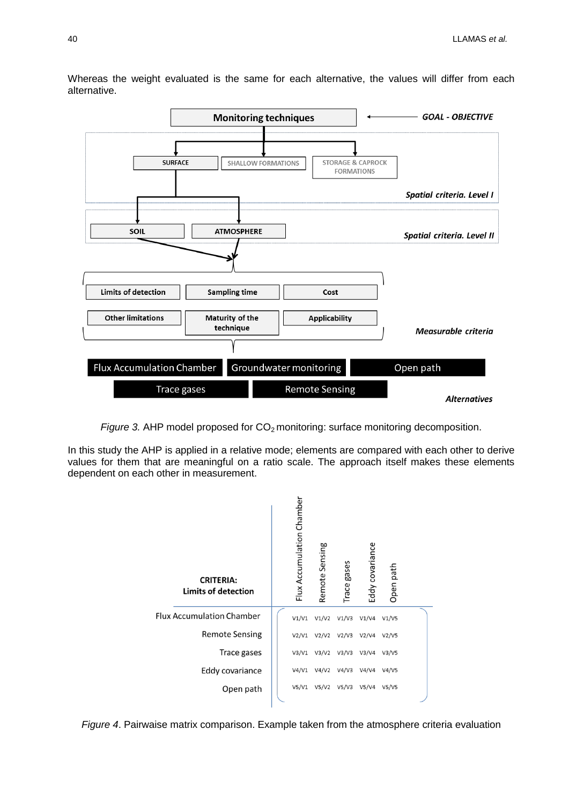

Whereas the weight evaluated is the same for each alternative, the values will differ from each alternative.

*Figure* 3. AHP model proposed for CO<sub>2</sub> monitoring: surface monitoring decomposition.

In this study the AHP is applied in a relative mode; elements are compared with each other to derive values for them that are meaningful on a ratio scale. The approach itself makes these elements dependent on each other in measurement.



*Figure 4*. Pairwaise matrix comparison. Example taken from the atmosphere criteria evaluation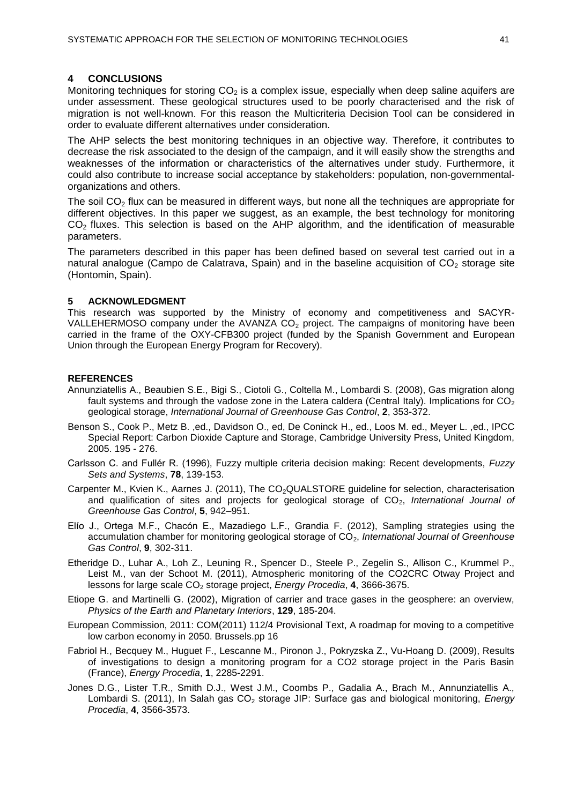### **4 CONCLUSIONS**

Monitoring techniques for storing  $CO<sub>2</sub>$  is a complex issue, especially when deep saline aquifers are under assessment. These geological structures used to be poorly characterised and the risk of migration is not well-known. For this reason the Multicriteria Decision Tool can be considered in order to evaluate different alternatives under consideration.

The AHP selects the best monitoring techniques in an objective way. Therefore, it contributes to decrease the risk associated to the design of the campaign, and it will easily show the strengths and weaknesses of the information or characteristics of the alternatives under study. Furthermore, it could also contribute to increase social acceptance by stakeholders: population, non-governmentalorganizations and others.

The soil  $CO<sub>2</sub>$  flux can be measured in different ways, but none all the techniques are appropriate for different objectives. In this paper we suggest, as an example, the best technology for monitoring  $CO<sub>2</sub>$  fluxes. This selection is based on the AHP algorithm, and the identification of measurable parameters.

The parameters described in this paper has been defined based on several test carried out in a natural analogue (Campo de Calatrava, Spain) and in the baseline acquisition of  $CO<sub>2</sub>$  storage site (Hontomin, Spain).

#### **5 ACKNOWLEDGMENT**

This research was supported by the Ministry of economy and competitiveness and SACYR-VALLEHERMOSO company under the AVANZA CO<sub>2</sub> project. The campaigns of monitoring have been carried in the frame of the OXY-CFB300 project (funded by the Spanish Government and European Union through the European Energy Program for Recovery).

#### **REFERENCES**

- Annunziatellis A., Beaubien S.E., Bigi S., Ciotoli G., Coltella M., Lombardi S. (2008), Gas migration along fault systems and through the vadose zone in the Latera caldera (Central Italy). Implications for  $CO<sub>2</sub>$ geological storage, *International Journal of Greenhouse Gas Control*, **2**, 353-372.
- Benson S., Cook P., Metz B. ,ed., Davidson O., ed, De Coninck H., ed., Loos M. ed., Meyer L. ,ed., IPCC Special Report: Carbon Dioxide Capture and Storage, Cambridge University Press, United Kingdom, 2005. 195 - 276.
- Carlsson C. and Fullér R. (1996), Fuzzy multiple criteria decision making: Recent developments, *Fuzzy Sets and Systems*, **78**, 139-153.
- Carpenter M., Kvien K., Aarnes J. (2011), The CO<sub>2</sub>QUALSTORE guideline for selection, characterisation and qualification of sites and projects for geological storage of CO<sub>2</sub>, International Journal of *Greenhouse Gas Control*, **5**, 942–951.
- Elío J., Ortega M.F., Chacón E., Mazadiego L.F., Grandia F. (2012), Sampling strategies using the accumulation chamber for monitoring geological storage of CO<sub>2</sub>, *International Journal of Greenhouse Gas Control*, **9**, 302-311.
- Etheridge D., Luhar A., Loh Z., Leuning R., Spencer D., Steele P., Zegelin S., Allison C., Krummel P., Leist M., van der Schoot M. (2011), Atmospheric monitoring of the CO2CRC Otway Project and lessons for large scale CO<sub>2</sub> storage project, *Energy Procedia*, 4, 3666-3675.
- Etiope G. and Martinelli G. (2002), Migration of carrier and trace gases in the geosphere: an overview, *Physics of the Earth and Planetary Interiors*, **129**, 185-204.
- European Commission, 2011: COM(2011) 112/4 Provisional Text, A roadmap for moving to a competitive low carbon economy in 2050. Brussels.pp 16
- Fabriol H., Becquey M., Huguet F., Lescanne M., Pironon J., Pokryzska Z., Vu-Hoang D. (2009), Results of investigations to design a monitoring program for a CO2 storage project in the Paris Basin (France), *Energy Procedia*, **1**, 2285-2291.
- Jones D.G., Lister T.R., Smith D.J., West J.M., Coombs P., Gadalia A., Brach M., Annunziatellis A., Lombardi S. (2011), In Salah gas CO<sub>2</sub> storage JIP: Surface gas and biological monitoring, *Energy Procedia*, **4**, 3566-3573.